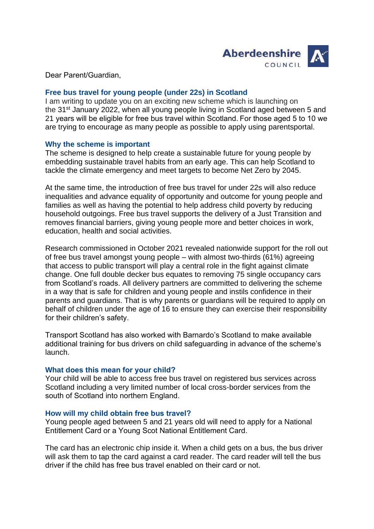

Dear Parent/Guardian, 

### **Free bus travel for young people (under 22s) in Scotland**

I am writing to update you on an exciting new scheme which is launching on the 31<sup>st</sup> January 2022, when all young people living in Scotland aged between 5 and 21 years will be eligible for free bus travel within Scotland. For those aged 5 to 10 we are trying to encourage as many people as possible to apply using parentsportal. 

### **Why the scheme is important**

The scheme is designed to help create a sustainable future for young people by embedding sustainable travel habits from an early age. This can help Scotland to tackle the climate emergency and meet targets to become Net Zero by 2045.

At the same time, the introduction of free bus travel for under 22s will also reduce inequalities and advance equality of opportunity and outcome for young people and families as well as having the potential to help address child poverty by reducing household outgoings. Free bus travel supports the delivery of a Just Transition and removes financial barriers, giving young people more and better choices in work, education, health and social activities.

Research commissioned in October 2021 revealed nationwide support for the roll out of free bus travel amongst young people – with almost two-thirds (61%) agreeing that access to public transport will play a central role in the fight against climate change. One full double decker bus equates to removing 75 single occupancy cars from Scotland's roads. All delivery partners are committed to delivering the scheme in a way that is safe for children and young people and instils confidence in their parents and guardians. That is why parents or guardians will be required to apply on behalf of children under the age of 16 to ensure they can exercise their responsibility for their children's safety.

Transport Scotland has also worked with Barnardo's Scotland to make available additional training for bus drivers on child safeguarding in advance of the scheme's launch.

### **What does this mean for your child?**

Your child will be able to access free bus travel on registered bus services across Scotland including a very limited number of local cross-border services from the south of Scotland into northern England. 

### **How will my child obtain free bus travel?**

Young people aged between 5 and 21 years old will need to apply for a National Entitlement Card or a Young Scot National Entitlement Card.  

The card has an electronic chip inside it. When a child gets on a bus, the bus driver will ask them to tap the card against a card reader. The card reader will tell the bus driver if the child has free bus travel enabled on their card or not.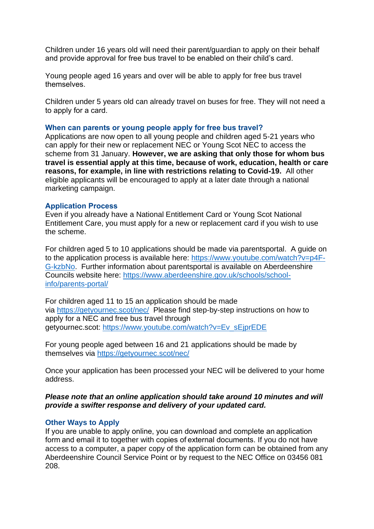Children under 16 years old will need their parent/guardian to apply on their behalf and provide approval for free bus travel to be enabled on their child's card.  

Young people aged 16 years and over will be able to apply for free bus travel themselves.  

Children under 5 years old can already travel on buses for free. They will not need a to apply for a card. 

### **When can parents or young people apply for free bus travel?**

Applications are now open to all young people and children aged 5-21 years who can apply for their new or replacement NEC or Young Scot NEC to access the scheme from 31 January. **However, we are asking that only those for whom bus travel is essential apply at this time, because of work, education, health or care reasons, for example, in line with restrictions relating to Covid-19.** All other eligible applicants will be encouraged to apply at a later date through a national marketing campaign.

### **Application Process**

Even if you already have a National Entitlement Card or Young Scot National Entitlement Care, you must apply for a new or replacement card if you wish to use the scheme.

For children aged 5 to 10 applications should be made via parentsportal. A guide on to the application process is available here: [https://www.youtube.com/watch?v=p4F-](https://www.youtube.com/watch?v=p4F-G-kzbNo)[G-kzbNo.](https://www.youtube.com/watch?v=p4F-G-kzbNo) Further information about parentsportal is available on Aberdeenshire Councils website here: [https://www.aberdeenshire.gov.uk/schools/school](https://www.aberdeenshire.gov.uk/schools/school-info/parents-portal/)[info/parents-portal/](https://www.aberdeenshire.gov.uk/schools/school-info/parents-portal/)

For children aged 11 to 15 an application should be made via <https://getyournec.scot/nec/>Please find step-by-step instructions on how to apply for a NEC and free bus travel through getyournec.scot: [https://www.youtube.com/watch?v=Ev\\_sEjprEDE](https://www.youtube.com/watch?v=Ev_sEjprEDE)

For young people aged between 16 and 21 applications should be made by themselves via <https://getyournec.scot/nec/>

Once your application has been processed your NEC will be delivered to your home address.

### *Please note that an online application should take around 10 minutes and will provide a swifter response and delivery of your updated card.*

### **Other Ways to Apply**

If you are unable to apply online, you can download and complete an application form and email it to together with copies of external documents. If you do not have access to a computer, a paper copy of the application form can be obtained from any Aberdeenshire Council Service Point or by request to the NEC Office on 03456 081 208.